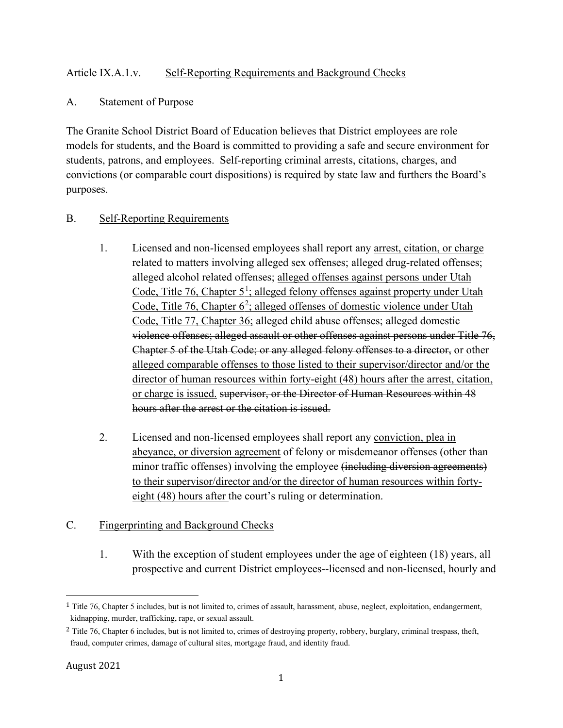#### Article IX.A.1.v. Self-Reporting Requirements and Background Checks

#### A. Statement of Purpose

The Granite School District Board of Education believes that District employees are role models for students, and the Board is committed to providing a safe and secure environment for students, patrons, and employees. Self-reporting criminal arrests, citations, charges, and convictions (or comparable court dispositions) is required by state law and furthers the Board's purposes.

## B. Self-Reporting Requirements

- 1. Licensed and non-licensed employees shall report any arrest, citation, or charge related to matters involving alleged sex offenses; alleged drug-related offenses; alleged alcohol related offenses; alleged offenses against persons under Utah Code, Title 76, Chapter 5<sup>[1](#page-0-0)</sup>; alleged felony offenses against property under Utah Code, Title 76, Chapter 6<sup>[2](#page-0-1)</sup>; alleged offenses of domestic violence under Utah Code, Title 77, Chapter 36; alleged child abuse offenses; alleged domestic violence offenses; alleged assault or other offenses against persons under Title 76, Chapter 5 of the Utah Code; or any alleged felony offenses to a director, or other alleged comparable offenses to those listed to their supervisor/director and/or the director of human resources within forty-eight (48) hours after the arrest, citation, or charge is issued. supervisor, or the Director of Human Resources within 48 hours after the arrest or the citation is issued.
- 2. Licensed and non-licensed employees shall report any conviction, plea in abeyance, or diversion agreement of felony or misdemeanor offenses (other than minor traffic offenses) involving the employee (including diversion agreements) to their supervisor/director and/or the director of human resources within fortyeight (48) hours after the court's ruling or determination.

# C. Fingerprinting and Background Checks

1. With the exception of student employees under the age of eighteen (18) years, all prospective and current District employees--licensed and non-licensed, hourly and

<span id="page-0-0"></span><sup>1</sup> Title 76, Chapter 5 includes, but is not limited to, crimes of assault, harassment, abuse, neglect, exploitation, endangerment, kidnapping, murder, trafficking, rape, or sexual assault.

<span id="page-0-1"></span><sup>&</sup>lt;sup>2</sup> Title 76, Chapter 6 includes, but is not limited to, crimes of destroying property, robbery, burglary, criminal trespass, theft, fraud, computer crimes, damage of cultural sites, mortgage fraud, and identity fraud.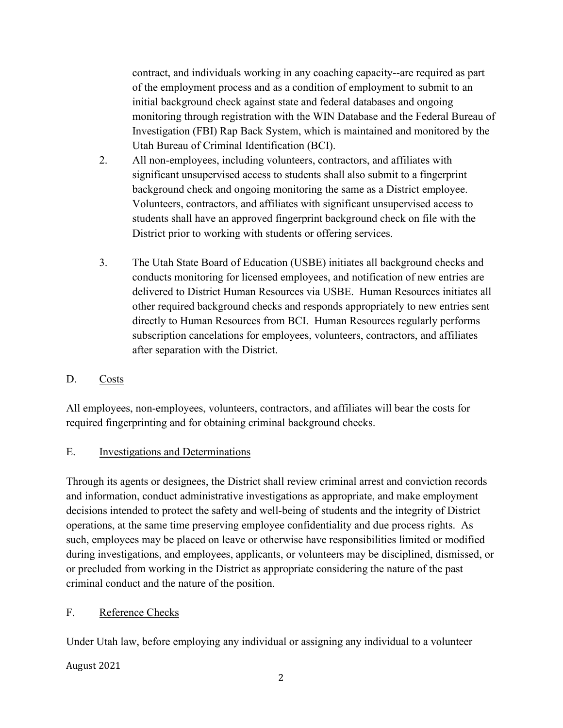contract, and individuals working in any coaching capacity--are required as part of the employment process and as a condition of employment to submit to an initial background check against state and federal databases and ongoing monitoring through registration with the WIN Database and the Federal Bureau of Investigation (FBI) Rap Back System, which is maintained and monitored by the Utah Bureau of Criminal Identification (BCI).

- 2. All non-employees, including volunteers, contractors, and affiliates with significant unsupervised access to students shall also submit to a fingerprint background check and ongoing monitoring the same as a District employee. Volunteers, contractors, and affiliates with significant unsupervised access to students shall have an approved fingerprint background check on file with the District prior to working with students or offering services.
- 3. The Utah State Board of Education (USBE) initiates all background checks and conducts monitoring for licensed employees, and notification of new entries are delivered to District Human Resources via USBE. Human Resources initiates all other required background checks and responds appropriately to new entries sent directly to Human Resources from BCI. Human Resources regularly performs subscription cancelations for employees, volunteers, contractors, and affiliates after separation with the District.

# D. Costs

All employees, non-employees, volunteers, contractors, and affiliates will bear the costs for required fingerprinting and for obtaining criminal background checks.

#### E. Investigations and Determinations

Through its agents or designees, the District shall review criminal arrest and conviction records and information, conduct administrative investigations as appropriate, and make employment decisions intended to protect the safety and well-being of students and the integrity of District operations, at the same time preserving employee confidentiality and due process rights. As such, employees may be placed on leave or otherwise have responsibilities limited or modified during investigations, and employees, applicants, or volunteers may be disciplined, dismissed, or or precluded from working in the District as appropriate considering the nature of the past criminal conduct and the nature of the position.

#### F. Reference Checks

Under Utah law, before employing any individual or assigning any individual to a volunteer

August 2021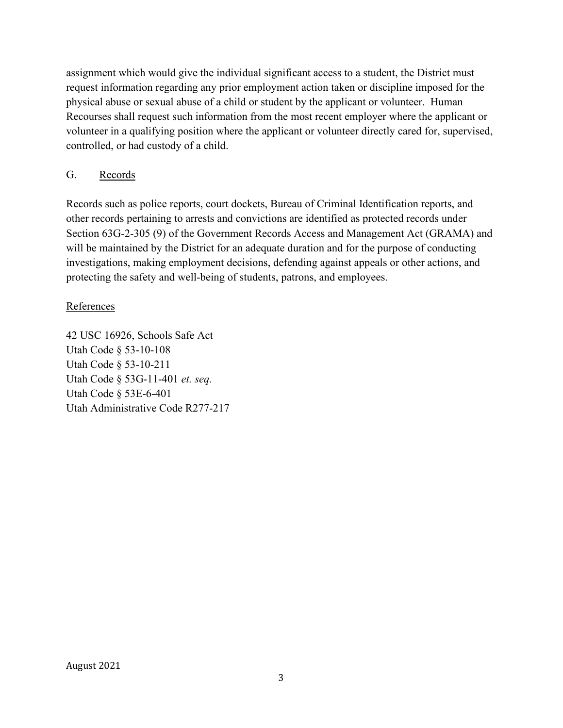assignment which would give the individual significant access to a student, the District must request information regarding any prior employment action taken or discipline imposed for the physical abuse or sexual abuse of a child or student by the applicant or volunteer. Human Recourses shall request such information from the most recent employer where the applicant or volunteer in a qualifying position where the applicant or volunteer directly cared for, supervised, controlled, or had custody of a child.

# G. Records

Records such as police reports, court dockets, Bureau of Criminal Identification reports, and other records pertaining to arrests and convictions are identified as protected records under Section 63G-2-305 (9) of the Government Records Access and Management Act (GRAMA) and will be maintained by the District for an adequate duration and for the purpose of conducting investigations, making employment decisions, defending against appeals or other actions, and protecting the safety and well-being of students, patrons, and employees.

## References

42 USC 16926, Schools Safe Act Utah Code § 53-10-108 Utah Code § 53-10-211 Utah Code § 53G-11-401 *et. seq.* Utah Code § 53E-6-401 Utah Administrative Code R277-217